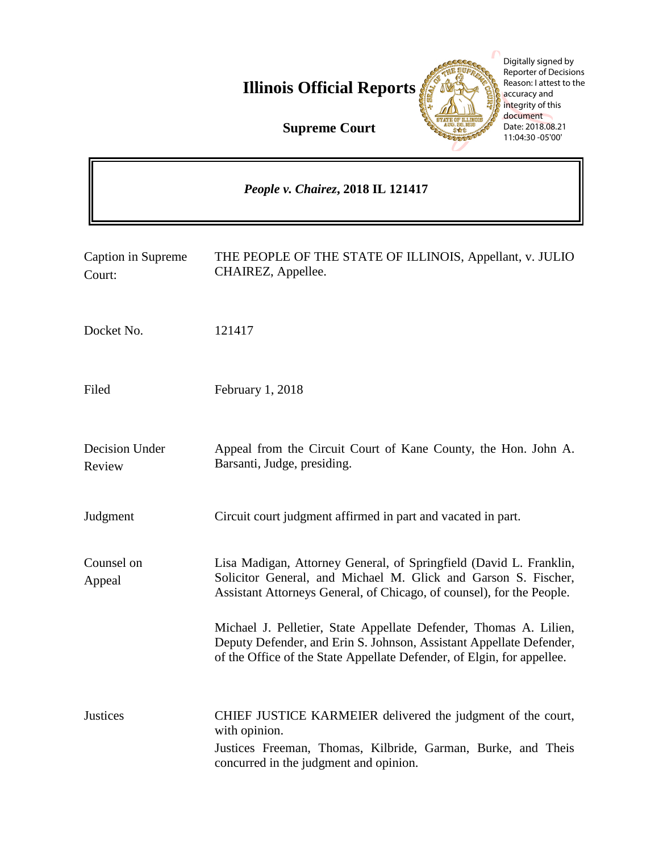

Digitally signed by<br>Reporter of Decisions<br>Reason: l attest to the<br>Saccuracy and Reason: I attest to the accuracy and integrity of this document Date: 2018.08.21 11:04:30 -05'00'

| <b>Supreme Court</b> |  |
|----------------------|--|
|----------------------|--|

|                                   | Digitally signed by<br><b>Reporter of Decisions</b><br>Reason: I attest to the<br><b>Illinois Official Reports</b><br>accuracy and<br>integrity of this<br>document<br><b>Supreme Court</b><br>Date: 2018.08.21<br>11:04:30 -05'00' |  |
|-----------------------------------|-------------------------------------------------------------------------------------------------------------------------------------------------------------------------------------------------------------------------------------|--|
| People v. Chairez, 2018 IL 121417 |                                                                                                                                                                                                                                     |  |
| Caption in Supreme<br>Court:      | THE PEOPLE OF THE STATE OF ILLINOIS, Appellant, v. JULIO<br>CHAIREZ, Appellee.                                                                                                                                                      |  |
| Docket No.                        | 121417                                                                                                                                                                                                                              |  |
| Filed                             | February 1, 2018                                                                                                                                                                                                                    |  |
| <b>Decision Under</b><br>Review   | Appeal from the Circuit Court of Kane County, the Hon. John A.<br>Barsanti, Judge, presiding.                                                                                                                                       |  |
| Judgment                          | Circuit court judgment affirmed in part and vacated in part.                                                                                                                                                                        |  |
| Counsel on<br>Appeal              | Lisa Madigan, Attorney General, of Springfield (David L. Franklin,<br>Solicitor General, and Michael M. Glick and Garson S. Fischer,<br>Assistant Attorneys General, of Chicago, of counsel), for the People.                       |  |
|                                   | Michael J. Pelletier, State Appellate Defender, Thomas A. Lilien,<br>Deputy Defender, and Erin S. Johnson, Assistant Appellate Defender,<br>of the Office of the State Appellate Defender, of Elgin, for appellee.                  |  |
| <b>Justices</b>                   | CHIEF JUSTICE KARMEIER delivered the judgment of the court,<br>with opinion.<br>Justices Freeman, Thomas, Kilbride, Garman, Burke, and Theis<br>concurred in the judgment and opinion.                                              |  |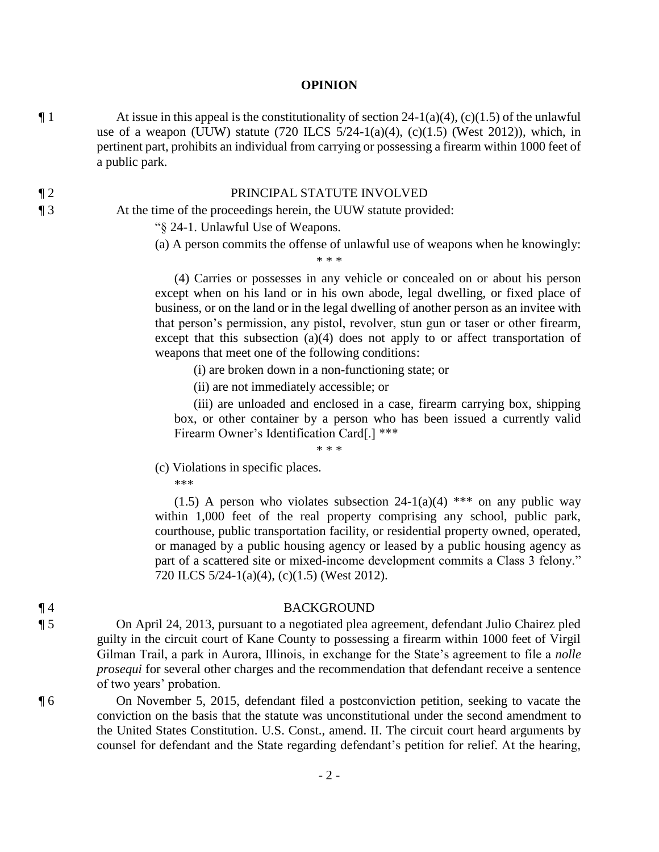## **OPINION**

 $\P$  1 At issue in this appeal is the constitutionality of section 24-1(a)(4), (c)(1.5) of the unlawful use of a weapon (UUW) statute  $(720$  ILCS  $5/24-1(a)(4)$ ,  $(c)(1.5)$  (West 2012)), which, in pertinent part, prohibits an individual from carrying or possessing a firearm within 1000 feet of a public park.

## ¶ 2 PRINCIPAL STATUTE INVOLVED

# ¶ 3 At the time of the proceedings herein, the UUW statute provided:

"§ 24-1. Unlawful Use of Weapons.

(a) A person commits the offense of unlawful use of weapons when he knowingly:

 $* * *$ 

 (4) Carries or possesses in any vehicle or concealed on or about his person except when on his land or in his own abode, legal dwelling, or fixed place of business, or on the land or in the legal dwelling of another person as an invitee with that person's permission, any pistol, revolver, stun gun or taser or other firearm, except that this subsection  $(a)(4)$  does not apply to or affect transportation of weapons that meet one of the following conditions:

(i) are broken down in a non-functioning state; or

(ii) are not immediately accessible; or

 (iii) are unloaded and enclosed in a case, firearm carrying box, shipping box, or other container by a person who has been issued a currently valid Firearm Owner's Identification Card[.] \*\*\*

 $* * *$ 

(c) Violations in specific places.

\*\*\*

(1.5) A person who violates subsection 24-1(a)(4) \*\*\* on any public way within 1,000 feet of the real property comprising any school, public park, courthouse, public transportation facility, or residential property owned, operated, or managed by a public housing agency or leased by a public housing agency as part of a scattered site or mixed-income development commits a Class 3 felony." 720 ILCS 5/24-1(a)(4), (c)(1.5) (West 2012).

## ¶ 4 BACKGROUND

¶ 5 On April 24, 2013, pursuant to a negotiated plea agreement, defendant Julio Chairez pled guilty in the circuit court of Kane County to possessing a firearm within 1000 feet of Virgil Gilman Trail, a park in Aurora, Illinois, in exchange for the State's agreement to file a *nolle prosequi* for several other charges and the recommendation that defendant receive a sentence of two years' probation.

¶ 6 On November 5, 2015, defendant filed a postconviction petition, seeking to vacate the conviction on the basis that the statute was unconstitutional under the second amendment to the United States Constitution. U.S. Const., amend. II. The circuit court heard arguments by counsel for defendant and the State regarding defendant's petition for relief. At the hearing,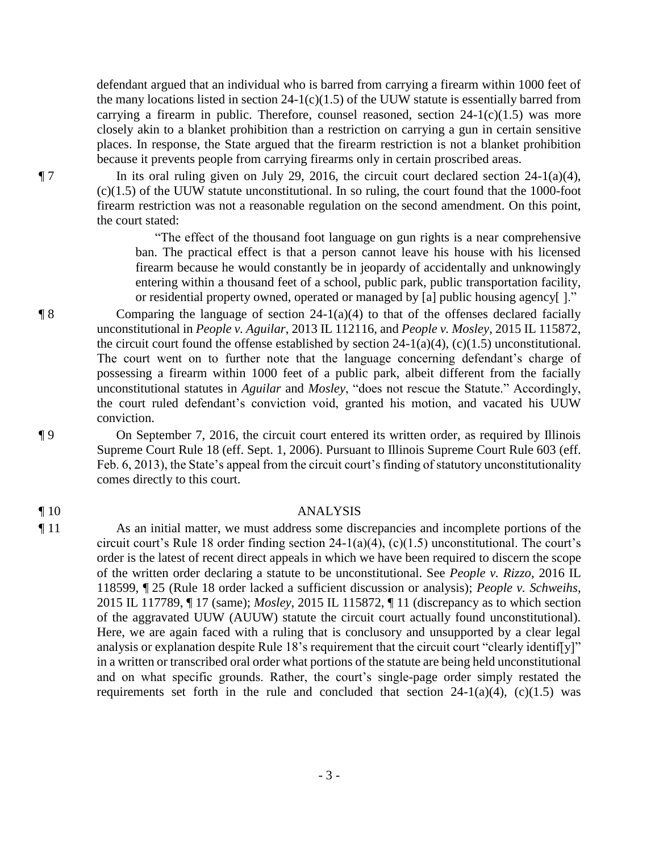defendant argued that an individual who is barred from carrying a firearm within 1000 feet of the many locations listed in section  $24-1(c)(1.5)$  of the UUW statute is essentially barred from carrying a firearm in public. Therefore, counsel reasoned, section  $24-1(c)(1.5)$  was more closely akin to a blanket prohibition than a restriction on carrying a gun in certain sensitive places. In response, the State argued that the firearm restriction is not a blanket prohibition because it prevents people from carrying firearms only in certain proscribed areas.

¶ 7 In its oral ruling given on July 29, 2016, the circuit court declared section 24-1(a)(4), (c)(1.5) of the UUW statute unconstitutional. In so ruling, the court found that the 1000-foot firearm restriction was not a reasonable regulation on the second amendment. On this point, the court stated:

> "The effect of the thousand foot language on gun rights is a near comprehensive ban. The practical effect is that a person cannot leave his house with his licensed firearm because he would constantly be in jeopardy of accidentally and unknowingly entering within a thousand feet of a school, public park, public transportation facility, or residential property owned, operated or managed by [a] public housing agency[ ]."

 $\P 8$  Comparing the language of section 24-1(a)(4) to that of the offenses declared facially unconstitutional in *People v. Aguilar*, 2013 IL 112116, and *People v. Mosley*, 2015 IL 115872, the circuit court found the offense established by section  $24-1(a)(4)$ , (c)(1.5) unconstitutional. The court went on to further note that the language concerning defendant's charge of possessing a firearm within 1000 feet of a public park, albeit different from the facially unconstitutional statutes in *Aguilar* and *Mosley*, "does not rescue the Statute." Accordingly, the court ruled defendant's conviction void, granted his motion, and vacated his UUW conviction.

¶ 9 On September 7, 2016, the circuit court entered its written order, as required by Illinois Supreme Court Rule 18 (eff. Sept. 1, 2006). Pursuant to Illinois Supreme Court Rule 603 (eff. Feb. 6, 2013), the State's appeal from the circuit court's finding of statutory unconstitutionality comes directly to this court.

## ¶ 10 ANALYSIS

¶ 11 As an initial matter, we must address some discrepancies and incomplete portions of the circuit court's Rule 18 order finding section 24-1(a)(4), (c)(1.5) unconstitutional. The court's order is the latest of recent direct appeals in which we have been required to discern the scope of the written order declaring a statute to be unconstitutional. See *People v. Rizzo*, 2016 IL 118599, ¶ 25 (Rule 18 order lacked a sufficient discussion or analysis); *People v. Schweihs*, 2015 IL 117789, ¶ 17 (same); *Mosley*, 2015 IL 115872, ¶ 11 (discrepancy as to which section of the aggravated UUW (AUUW) statute the circuit court actually found unconstitutional). Here, we are again faced with a ruling that is conclusory and unsupported by a clear legal analysis or explanation despite Rule 18's requirement that the circuit court "clearly identif[y]" in a written or transcribed oral order what portions of the statute are being held unconstitutional and on what specific grounds. Rather, the court's single-page order simply restated the requirements set forth in the rule and concluded that section  $24-1(a)(4)$ ,  $(c)(1.5)$  was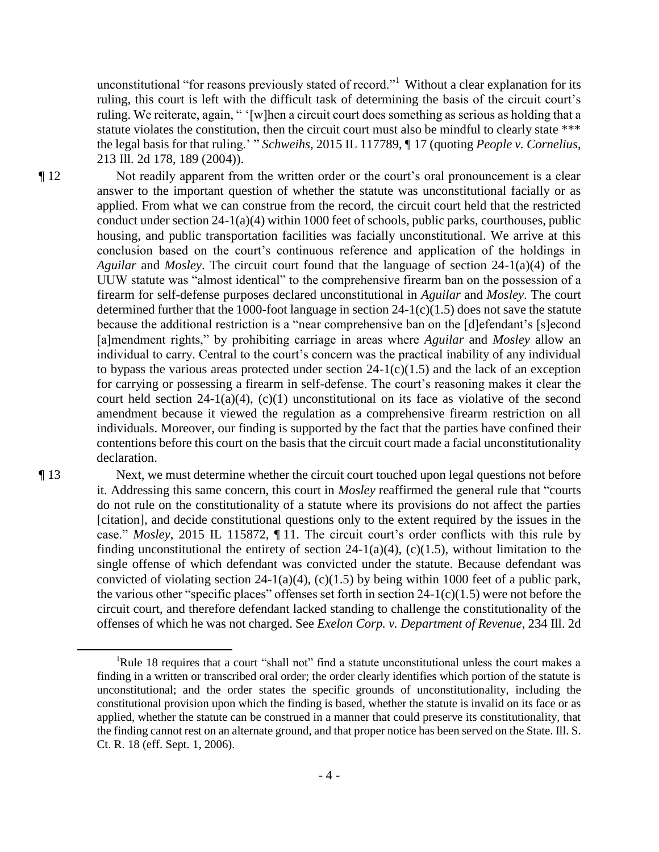unconstitutional "for reasons previously stated of record."<sup>1</sup> Without a clear explanation for its ruling, this court is left with the difficult task of determining the basis of the circuit court's ruling. We reiterate, again, " '[w]hen a circuit court does something as serious as holding that a statute violates the constitution, then the circuit court must also be mindful to clearly state \*\*\* the legal basis for that ruling.' " *Schweihs*, 2015 IL 117789, ¶ 17 (quoting *People v. Cornelius*, 213 Ill. 2d 178, 189 (2004)).

¶ 12 Not readily apparent from the written order or the court's oral pronouncement is a clear answer to the important question of whether the statute was unconstitutional facially or as applied. From what we can construe from the record, the circuit court held that the restricted conduct under section 24-1(a)(4) within 1000 feet of schools, public parks, courthouses, public housing, and public transportation facilities was facially unconstitutional. We arrive at this conclusion based on the court's continuous reference and application of the holdings in *Aguilar* and *Mosley*. The circuit court found that the language of section 24-1(a)(4) of the UUW statute was "almost identical" to the comprehensive firearm ban on the possession of a firearm for self-defense purposes declared unconstitutional in *Aguilar* and *Mosley*. The court determined further that the 1000-foot language in section  $24-1(c)(1.5)$  does not save the statute because the additional restriction is a "near comprehensive ban on the [d]efendant's [s]econd [a]mendment rights," by prohibiting carriage in areas where *Aguilar* and *Mosley* allow an individual to carry. Central to the court's concern was the practical inability of any individual to bypass the various areas protected under section  $24-1(c)(1.5)$  and the lack of an exception for carrying or possessing a firearm in self-defense. The court's reasoning makes it clear the court held section 24-1(a)(4), (c)(1) unconstitutional on its face as violative of the second amendment because it viewed the regulation as a comprehensive firearm restriction on all individuals. Moreover, our finding is supported by the fact that the parties have confined their contentions before this court on the basis that the circuit court made a facial unconstitutionality declaration.

 $\overline{a}$ 

¶ 13 Next, we must determine whether the circuit court touched upon legal questions not before it. Addressing this same concern, this court in *Mosley* reaffirmed the general rule that "courts do not rule on the constitutionality of a statute where its provisions do not affect the parties [citation], and decide constitutional questions only to the extent required by the issues in the case." *Mosley*, 2015 IL 115872, ¶ 11. The circuit court's order conflicts with this rule by finding unconstitutional the entirety of section  $24-1(a)(4)$ , (c)(1.5), without limitation to the single offense of which defendant was convicted under the statute. Because defendant was convicted of violating section 24-1(a)(4), (c)(1.5) by being within 1000 feet of a public park, the various other "specific places" offenses set forth in section 24-1(c)(1.5) were not before the circuit court, and therefore defendant lacked standing to challenge the constitutionality of the offenses of which he was not charged. See *Exelon Corp. v. Department of Revenue*, 234 Ill. 2d

<sup>&</sup>lt;sup>1</sup>Rule 18 requires that a court "shall not" find a statute unconstitutional unless the court makes a finding in a written or transcribed oral order; the order clearly identifies which portion of the statute is unconstitutional; and the order states the specific grounds of unconstitutionality, including the constitutional provision upon which the finding is based, whether the statute is invalid on its face or as applied, whether the statute can be construed in a manner that could preserve its constitutionality, that the finding cannot rest on an alternate ground, and that proper notice has been served on the State. Ill. S. Ct. R. 18 (eff. Sept. 1, 2006).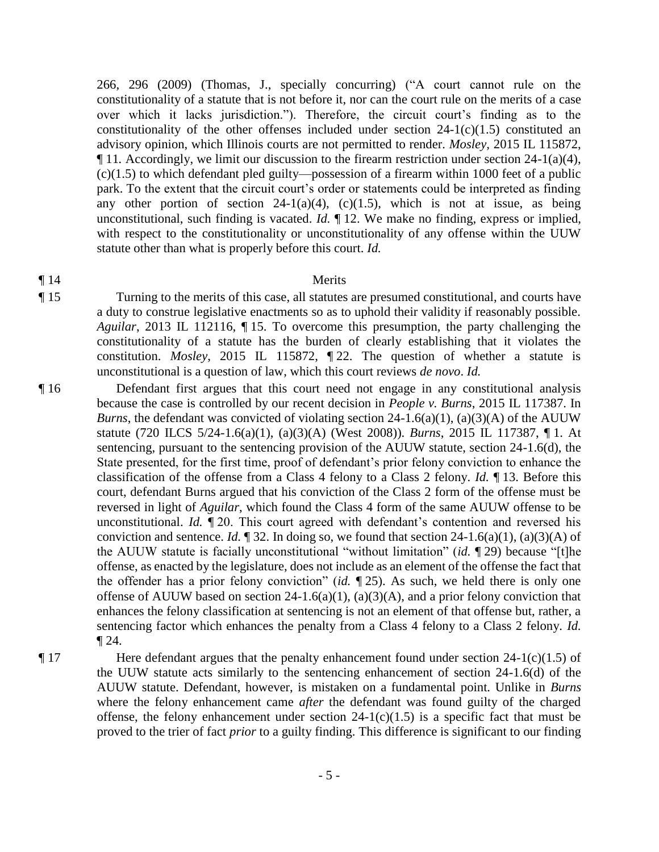266, 296 (2009) (Thomas, J., specially concurring) ("A court cannot rule on the constitutionality of a statute that is not before it, nor can the court rule on the merits of a case over which it lacks jurisdiction."). Therefore, the circuit court's finding as to the constitutionality of the other offenses included under section  $24-1(c)(1.5)$  constituted an advisory opinion, which Illinois courts are not permitted to render. *Mosley,* 2015 IL 115872, ¶ 11*.* Accordingly, we limit our discussion to the firearm restriction under section 24-1(a)(4), (c)(1.5) to which defendant pled guilty—possession of a firearm within 1000 feet of a public park. To the extent that the circuit court's order or statements could be interpreted as finding any other portion of section  $24-1(a)(4)$ ,  $(c)(1.5)$ , which is not at issue, as being unconstitutional, such finding is vacated. *Id.* ¶ 12. We make no finding, express or implied, with respect to the constitutionality or unconstitutionality of any offense within the UUW statute other than what is properly before this court. *Id.*

## ¶ 14 Merits

¶ 15 Turning to the merits of this case, all statutes are presumed constitutional, and courts have a duty to construe legislative enactments so as to uphold their validity if reasonably possible. *Aguilar*, 2013 IL 112116, ¶ 15. To overcome this presumption, the party challenging the constitutionality of a statute has the burden of clearly establishing that it violates the constitution. *Mosley*, 2015 IL 115872, ¶ 22. The question of whether a statute is unconstitutional is a question of law, which this court reviews *de novo*. *Id.*

- ¶ 16 Defendant first argues that this court need not engage in any constitutional analysis because the case is controlled by our recent decision in *People v. Burns*, 2015 IL 117387. In *Burns*, the defendant was convicted of violating section 24-1.6(a)(1), (a)(3)(A) of the AUUW statute (720 ILCS 5/24-1.6(a)(1), (a)(3)(A) (West 2008)). *Burns*, 2015 IL 117387, ¶ 1. At sentencing, pursuant to the sentencing provision of the AUUW statute, section 24-1.6(d), the State presented, for the first time, proof of defendant's prior felony conviction to enhance the classification of the offense from a Class 4 felony to a Class 2 felony. *Id.* ¶ 13. Before this court, defendant Burns argued that his conviction of the Class 2 form of the offense must be reversed in light of *Aguilar*, which found the Class 4 form of the same AUUW offense to be unconstitutional. *Id.*  $\mathbb{I}$  20. This court agreed with defendant's contention and reversed his conviction and sentence. *Id.*  $\mathbb{I}$  32. In doing so, we found that section 24-1.6(a)(1), (a)(3)(A) of the AUUW statute is facially unconstitutional "without limitation" (*id.* ¶ 29) because "[t]he offense, as enacted by the legislature, does not include as an element of the offense the fact that the offender has a prior felony conviction" (*id.* ¶ 25). As such, we held there is only one offense of AUUW based on section  $24-1.6(a)(1)$ ,  $(a)(3)(A)$ , and a prior felony conviction that enhances the felony classification at sentencing is not an element of that offense but, rather, a sentencing factor which enhances the penalty from a Class 4 felony to a Class 2 felony. *Id.* ¶ 24.
- 

 $\P$  17 Here defendant argues that the penalty enhancement found under section 24-1(c)(1.5) of the UUW statute acts similarly to the sentencing enhancement of section 24-1.6(d) of the AUUW statute. Defendant, however, is mistaken on a fundamental point. Unlike in *Burns*  where the felony enhancement came *after* the defendant was found guilty of the charged offense, the felony enhancement under section  $24-1(c)(1.5)$  is a specific fact that must be proved to the trier of fact *prior* to a guilty finding. This difference is significant to our finding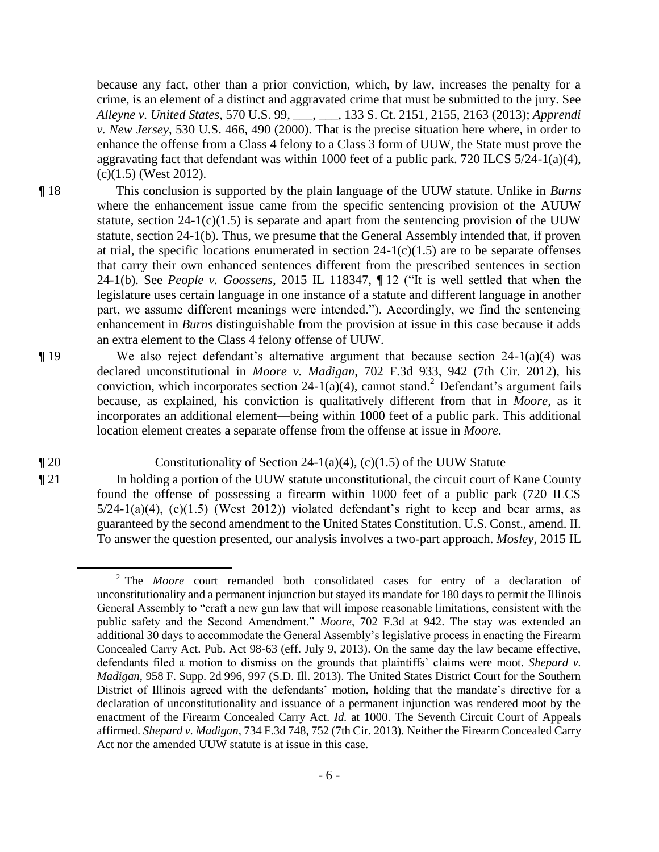because any fact, other than a prior conviction, which, by law, increases the penalty for a crime, is an element of a distinct and aggravated crime that must be submitted to the jury. See *Alleyne v. United States*, 570 U.S. 99, \_\_\_, \_\_\_, 133 S. Ct. 2151, 2155, 2163 (2013); *Apprendi v. New Jersey*, 530 U.S. 466, 490 (2000). That is the precise situation here where, in order to enhance the offense from a Class 4 felony to a Class 3 form of UUW, the State must prove the aggravating fact that defendant was within 1000 feet of a public park. 720 ILCS 5/24-1(a)(4), (c)(1.5) (West 2012).

- ¶ 18 This conclusion is supported by the plain language of the UUW statute. Unlike in *Burns*  where the enhancement issue came from the specific sentencing provision of the AUUW statute, section  $24-1(c)(1.5)$  is separate and apart from the sentencing provision of the UUW statute, section 24-1(b). Thus, we presume that the General Assembly intended that, if proven at trial, the specific locations enumerated in section  $24-1(c)(1.5)$  are to be separate offenses that carry their own enhanced sentences different from the prescribed sentences in section 24-1(b). See *People v. Goossens*, 2015 IL 118347, ¶ 12 ("It is well settled that when the legislature uses certain language in one instance of a statute and different language in another part, we assume different meanings were intended."). Accordingly, we find the sentencing enhancement in *Burns* distinguishable from the provision at issue in this case because it adds an extra element to the Class 4 felony offense of UUW.
- ¶ 19 We also reject defendant's alternative argument that because section 24-1(a)(4) was declared unconstitutional in *Moore v. Madigan*, 702 F.3d 933, 942 (7th Cir. 2012), his conviction, which incorporates section 24-1(a)(4), cannot stand.<sup>2</sup> Defendant's argument fails because, as explained, his conviction is qualitatively different from that in *Moore*, as it incorporates an additional element—being within 1000 feet of a public park. This additional location element creates a separate offense from the offense at issue in *Moore*.
- $\degree$  20 Constitutionality of Section 24-1(a)(4), (c)(1.5) of the UUW Statute

 $\overline{a}$ 

¶ 21 In holding a portion of the UUW statute unconstitutional, the circuit court of Kane County found the offense of possessing a firearm within 1000 feet of a public park (720 ILCS  $5/24-1(a)(4)$ , (c) $(1.5)$  (West 2012)) violated defendant's right to keep and bear arms, as guaranteed by the second amendment to the United States Constitution. U.S. Const., amend. II. To answer the question presented, our analysis involves a two-part approach. *Mosley*, 2015 IL

<sup>2</sup> The *Moore* court remanded both consolidated cases for entry of a declaration of unconstitutionality and a permanent injunction but stayed its mandate for 180 days to permit the Illinois General Assembly to "craft a new gun law that will impose reasonable limitations, consistent with the public safety and the Second Amendment." *Moore*, 702 F.3d at 942. The stay was extended an additional 30 days to accommodate the General Assembly's legislative process in enacting the Firearm Concealed Carry Act. Pub. Act 98-63 (eff. July 9, 2013). On the same day the law became effective, defendants filed a motion to dismiss on the grounds that plaintiffs' claims were moot. *Shepard v. Madigan*, 958 F. Supp. 2d 996, 997 (S.D. Ill. 2013). The United States District Court for the Southern District of Illinois agreed with the defendants' motion, holding that the mandate's directive for a declaration of unconstitutionality and issuance of a permanent injunction was rendered moot by the enactment of the Firearm Concealed Carry Act. *Id.* at 1000. The Seventh Circuit Court of Appeals affirmed. *Shepard v. Madigan*, 734 F.3d 748, 752 (7th Cir. 2013). Neither the Firearm Concealed Carry Act nor the amended UUW statute is at issue in this case.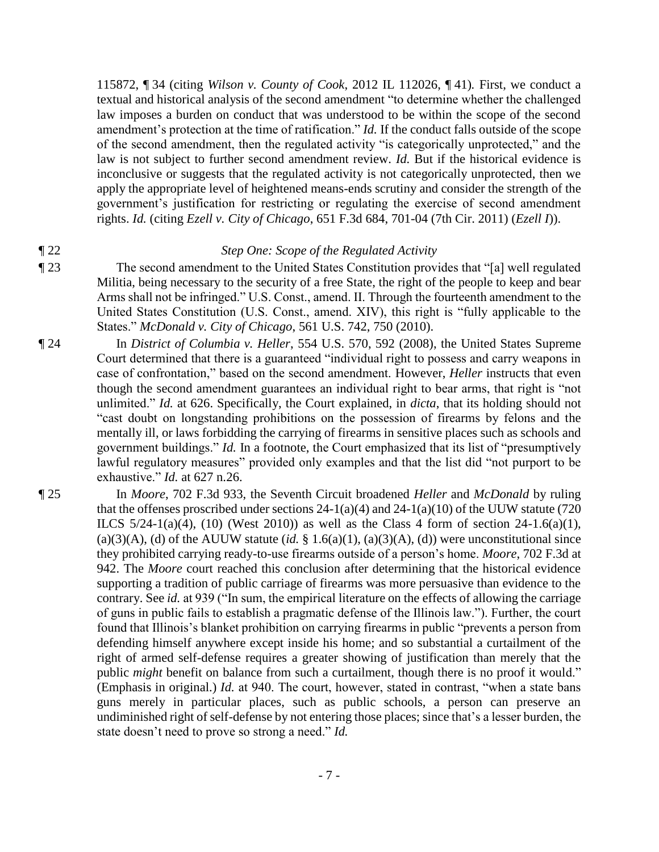115872, ¶ 34 (citing *Wilson v. County of Cook*, 2012 IL 112026, ¶ 41)*.* First, we conduct a textual and historical analysis of the second amendment "to determine whether the challenged law imposes a burden on conduct that was understood to be within the scope of the second amendment's protection at the time of ratification." *Id.* If the conduct falls outside of the scope of the second amendment, then the regulated activity "is categorically unprotected," and the law is not subject to further second amendment review. *Id.* But if the historical evidence is inconclusive or suggests that the regulated activity is not categorically unprotected, then we apply the appropriate level of heightened means-ends scrutiny and consider the strength of the government's justification for restricting or regulating the exercise of second amendment rights. *Id.* (citing *Ezell v. City of Chicago*, 651 F.3d 684, 701-04 (7th Cir. 2011) (*Ezell I*)).

## ¶ 22 *Step One: Scope of the Regulated Activity*

- ¶ 23 The second amendment to the United States Constitution provides that "[a] well regulated Militia, being necessary to the security of a free State, the right of the people to keep and bear Arms shall not be infringed." U.S. Const., amend. II. Through the fourteenth amendment to the United States Constitution (U.S. Const., amend. XIV), this right is "fully applicable to the States." *McDonald v. City of Chicago*, 561 U.S. 742, 750 (2010).
- ¶ 24 In *District of Columbia v. Heller*, 554 U.S. 570, 592 (2008), the United States Supreme Court determined that there is a guaranteed "individual right to possess and carry weapons in case of confrontation," based on the second amendment. However, *Heller* instructs that even though the second amendment guarantees an individual right to bear arms, that right is "not unlimited." *Id.* at 626. Specifically, the Court explained, in *dicta*, that its holding should not "cast doubt on longstanding prohibitions on the possession of firearms by felons and the mentally ill, or laws forbidding the carrying of firearms in sensitive places such as schools and government buildings." *Id.* In a footnote, the Court emphasized that its list of "presumptively lawful regulatory measures" provided only examples and that the list did "not purport to be exhaustive." *Id.* at 627 n.26.
- 

¶ 25 In *Moore*, 702 F.3d 933, the Seventh Circuit broadened *Heller* and *McDonald* by ruling that the offenses proscribed under sections  $24-1(a)(4)$  and  $24-1(a)(10)$  of the UUW statute (720 ILCS  $5/24-1(a)(4)$ ,  $(10)$  (West 2010)) as well as the Class 4 form of section 24-1.6(a)(1), (a)(3)(A), (d) of the AUUW statute (*id.*  $\S$  1.6(a)(1), (a)(3)(A), (d)) were unconstitutional since they prohibited carrying ready-to-use firearms outside of a person's home. *Moore*, 702 F.3d at 942. The *Moore* court reached this conclusion after determining that the historical evidence supporting a tradition of public carriage of firearms was more persuasive than evidence to the contrary. See *id.* at 939 ("In sum, the empirical literature on the effects of allowing the carriage of guns in public fails to establish a pragmatic defense of the Illinois law."). Further, the court found that Illinois's blanket prohibition on carrying firearms in public "prevents a person from defending himself anywhere except inside his home; and so substantial a curtailment of the right of armed self-defense requires a greater showing of justification than merely that the public *might* benefit on balance from such a curtailment, though there is no proof it would." (Emphasis in original.) *Id.* at 940. The court, however, stated in contrast, "when a state bans guns merely in particular places, such as public schools, a person can preserve an undiminished right of self-defense by not entering those places; since that's a lesser burden, the state doesn't need to prove so strong a need." *Id.*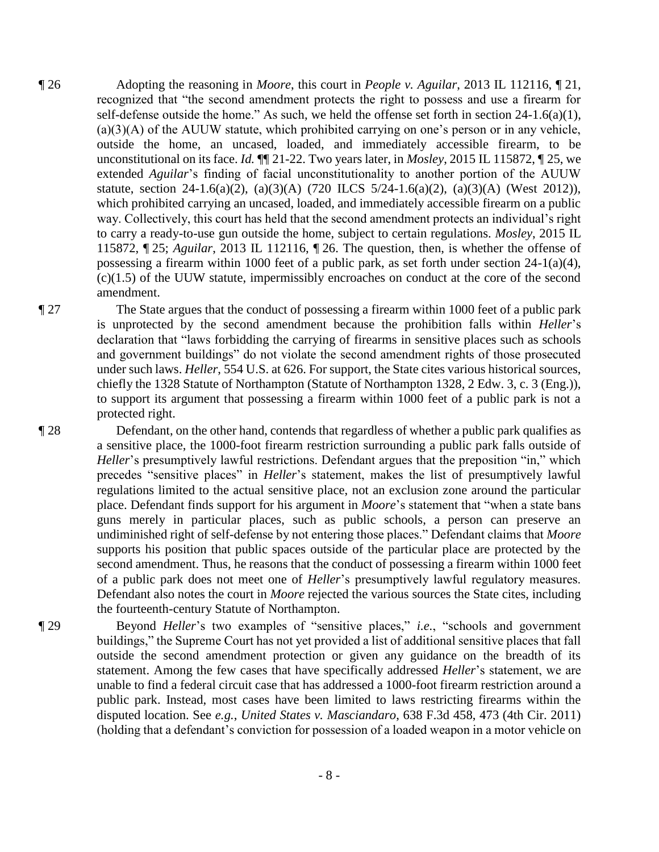¶ 26 Adopting the reasoning in *Moore*, this court in *People v. Aguilar*, 2013 IL 112116, ¶ 21, recognized that "the second amendment protects the right to possess and use a firearm for self-defense outside the home." As such, we held the offense set forth in section  $24-1.6(a)(1)$ ,  $(a)(3)(A)$  of the AUUW statute, which prohibited carrying on one's person or in any vehicle, outside the home, an uncased, loaded, and immediately accessible firearm, to be unconstitutional on its face. *Id.* ¶¶ 21-22. Two years later, in *Mosley*, 2015 IL 115872, ¶ 25, we extended *Aguilar*'s finding of facial unconstitutionality to another portion of the AUUW statute, section 24-1.6(a)(2), (a)(3)(A) (720 ILCS 5/24-1.6(a)(2), (a)(3)(A) (West 2012)), which prohibited carrying an uncased, loaded, and immediately accessible firearm on a public way. Collectively, this court has held that the second amendment protects an individual's right to carry a ready-to-use gun outside the home, subject to certain regulations. *Mosley*, 2015 IL 115872, ¶ 25; *Aguilar*, 2013 IL 112116, ¶ 26. The question, then, is whether the offense of possessing a firearm within 1000 feet of a public park, as set forth under section 24-1(a)(4), (c)(1.5) of the UUW statute, impermissibly encroaches on conduct at the core of the second amendment.

¶ 27 The State argues that the conduct of possessing a firearm within 1000 feet of a public park is unprotected by the second amendment because the prohibition falls within *Heller*'s declaration that "laws forbidding the carrying of firearms in sensitive places such as schools and government buildings" do not violate the second amendment rights of those prosecuted under such laws. *Heller*, 554 U.S. at 626. For support, the State cites various historical sources, chiefly the 1328 Statute of Northampton (Statute of Northampton 1328, 2 Edw. 3, c. 3 (Eng.)), to support its argument that possessing a firearm within 1000 feet of a public park is not a protected right.

¶ 28 Defendant, on the other hand, contends that regardless of whether a public park qualifies as a sensitive place, the 1000-foot firearm restriction surrounding a public park falls outside of *Heller's* presumptively lawful restrictions. Defendant argues that the preposition "in," which precedes "sensitive places" in *Heller*'s statement, makes the list of presumptively lawful regulations limited to the actual sensitive place, not an exclusion zone around the particular place. Defendant finds support for his argument in *Moore*'s statement that "when a state bans guns merely in particular places, such as public schools, a person can preserve an undiminished right of self-defense by not entering those places." Defendant claims that *Moore* supports his position that public spaces outside of the particular place are protected by the second amendment. Thus, he reasons that the conduct of possessing a firearm within 1000 feet of a public park does not meet one of *Heller*'s presumptively lawful regulatory measures. Defendant also notes the court in *Moore* rejected the various sources the State cites, including the fourteenth-century Statute of Northampton.

¶ 29 Beyond *Heller*'s two examples of "sensitive places," *i.e.*, "schools and government buildings," the Supreme Court has not yet provided a list of additional sensitive places that fall outside the second amendment protection or given any guidance on the breadth of its statement. Among the few cases that have specifically addressed *Heller*'s statement, we are unable to find a federal circuit case that has addressed a 1000-foot firearm restriction around a public park. Instead, most cases have been limited to laws restricting firearms within the disputed location. See *e.g.*, *United States v. Masciandaro*, 638 F.3d 458, 473 (4th Cir. 2011) (holding that a defendant's conviction for possession of a loaded weapon in a motor vehicle on

- 8 -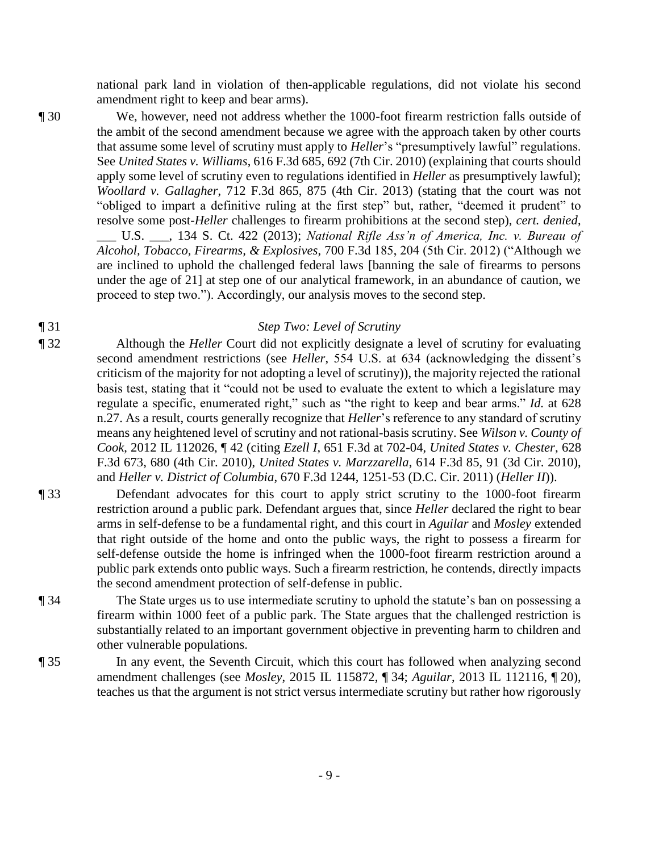national park land in violation of then-applicable regulations, did not violate his second amendment right to keep and bear arms).

¶ 30 We, however, need not address whether the 1000-foot firearm restriction falls outside of the ambit of the second amendment because we agree with the approach taken by other courts that assume some level of scrutiny must apply to *Heller*'s "presumptively lawful" regulations. See *United States v. Williams*, 616 F.3d 685, 692 (7th Cir. 2010) (explaining that courts should apply some level of scrutiny even to regulations identified in *Heller* as presumptively lawful); *Woollard v. Gallagher*, 712 F.3d 865, 875 (4th Cir. 2013) (stating that the court was not "obliged to impart a definitive ruling at the first step" but, rather, "deemed it prudent" to resolve some post-*Heller* challenges to firearm prohibitions at the second step), *cert. denied*, \_\_\_ U.S. \_\_\_, 134 S. Ct. 422 (2013); *National Rifle Ass'n of America, Inc. v. Bureau of Alcohol, Tobacco, Firearms, & Explosives*, 700 F.3d 185, 204 (5th Cir. 2012) ("Although we are inclined to uphold the challenged federal laws [banning the sale of firearms to persons under the age of 21] at step one of our analytical framework, in an abundance of caution, we proceed to step two."). Accordingly, our analysis moves to the second step.

# ¶ 31 *Step Two: Level of Scrutiny*

- ¶ 32 Although the *Heller* Court did not explicitly designate a level of scrutiny for evaluating second amendment restrictions (see *Heller*, 554 U.S. at 634 (acknowledging the dissent's criticism of the majority for not adopting a level of scrutiny)), the majority rejected the rational basis test, stating that it "could not be used to evaluate the extent to which a legislature may regulate a specific, enumerated right," such as "the right to keep and bear arms." *Id.* at 628 n.27. As a result, courts generally recognize that *Heller*'s reference to any standard of scrutiny means any heightened level of scrutiny and not rational-basis scrutiny. See *Wilson v. County of Cook*, 2012 IL 112026, ¶ 42 (citing *Ezell I*, 651 F.3d at 702-04, *United States v. Chester*, 628 F.3d 673, 680 (4th Cir. 2010), *United States v. Marzzarella*, 614 F.3d 85, 91 (3d Cir. 2010), and *Heller v. District of Columbia*, 670 F.3d 1244, 1251-53 (D.C. Cir. 2011) (*Heller II*)).
- ¶ 33 Defendant advocates for this court to apply strict scrutiny to the 1000-foot firearm restriction around a public park. Defendant argues that, since *Heller* declared the right to bear arms in self-defense to be a fundamental right, and this court in *Aguilar* and *Mosley* extended that right outside of the home and onto the public ways, the right to possess a firearm for self-defense outside the home is infringed when the 1000-foot firearm restriction around a public park extends onto public ways. Such a firearm restriction, he contends, directly impacts the second amendment protection of self-defense in public.
- ¶ 34 The State urges us to use intermediate scrutiny to uphold the statute's ban on possessing a firearm within 1000 feet of a public park. The State argues that the challenged restriction is substantially related to an important government objective in preventing harm to children and other vulnerable populations.
- ¶ 35 In any event, the Seventh Circuit, which this court has followed when analyzing second amendment challenges (see *Mosley*, 2015 IL 115872, ¶ 34; *Aguilar*, 2013 IL 112116, ¶ 20), teaches us that the argument is not strict versus intermediate scrutiny but rather how rigorously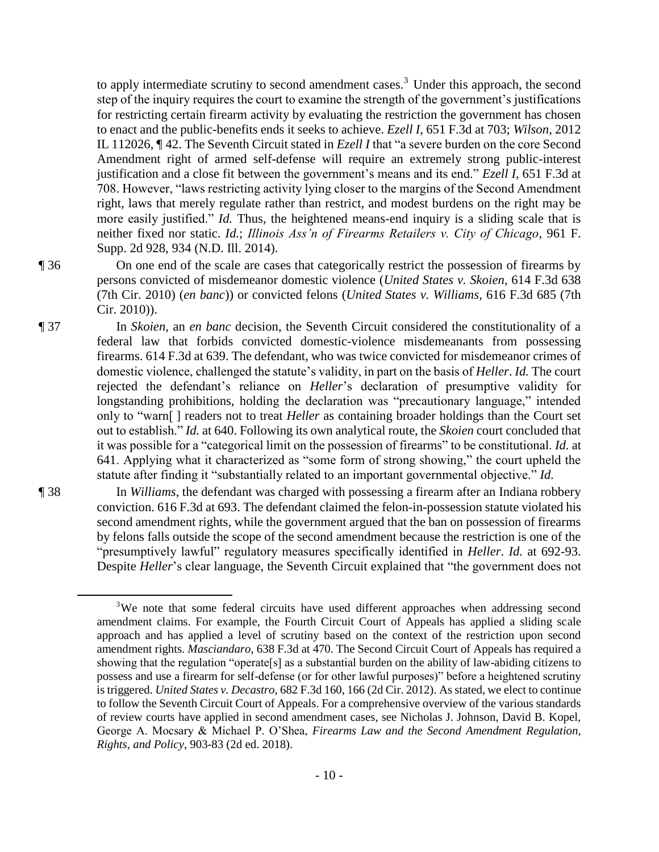to apply intermediate scrutiny to second amendment cases.<sup>3</sup> Under this approach, the second step of the inquiry requires the court to examine the strength of the government's justifications for restricting certain firearm activity by evaluating the restriction the government has chosen to enact and the public-benefits ends it seeks to achieve. *Ezell I*, 651 F.3d at 703; *Wilson*, 2012 IL 112026, ¶ 42. The Seventh Circuit stated in *Ezell I* that "a severe burden on the core Second Amendment right of armed self-defense will require an extremely strong public-interest justification and a close fit between the government's means and its end." *Ezell I*, 651 F.3d at 708. However, "laws restricting activity lying closer to the margins of the Second Amendment right, laws that merely regulate rather than restrict, and modest burdens on the right may be more easily justified." *Id.* Thus, the heightened means-end inquiry is a sliding scale that is neither fixed nor static. *Id.*; *Illinois Ass'n of Firearms Retailers v. City of Chicago*, 961 F. Supp. 2d 928, 934 (N.D. Ill. 2014).

¶ 36 On one end of the scale are cases that categorically restrict the possession of firearms by persons convicted of misdemeanor domestic violence (*United States v. Skoien*, 614 F.3d 638 (7th Cir. 2010) (*en banc*)) or convicted felons (*United States v. Williams*, 616 F.3d 685 (7th Cir. 2010)).

¶ 37 In *Skoien*, an *en banc* decision, the Seventh Circuit considered the constitutionality of a federal law that forbids convicted domestic-violence misdemeanants from possessing firearms. 614 F.3d at 639. The defendant, who was twice convicted for misdemeanor crimes of domestic violence, challenged the statute's validity, in part on the basis of *Heller*. *Id.* The court rejected the defendant's reliance on *Heller*'s declaration of presumptive validity for longstanding prohibitions, holding the declaration was "precautionary language," intended only to "warn[ ] readers not to treat *Heller* as containing broader holdings than the Court set out to establish." *Id.* at 640. Following its own analytical route, the *Skoien* court concluded that it was possible for a "categorical limit on the possession of firearms" to be constitutional. *Id.* at 641. Applying what it characterized as "some form of strong showing," the court upheld the statute after finding it "substantially related to an important governmental objective." *Id.*

¶ 38 In *Williams*, the defendant was charged with possessing a firearm after an Indiana robbery conviction. 616 F.3d at 693. The defendant claimed the felon-in-possession statute violated his second amendment rights, while the government argued that the ban on possession of firearms by felons falls outside the scope of the second amendment because the restriction is one of the "presumptively lawful" regulatory measures specifically identified in *Heller*. *Id.* at 692-93. Despite *Heller*'s clear language, the Seventh Circuit explained that "the government does not

 $\overline{a}$ 

<sup>&</sup>lt;sup>3</sup>We note that some federal circuits have used different approaches when addressing second amendment claims. For example, the Fourth Circuit Court of Appeals has applied a sliding scale approach and has applied a level of scrutiny based on the context of the restriction upon second amendment rights. *Masciandaro*, 638 F.3d at 470. The Second Circuit Court of Appeals has required a showing that the regulation "operate[s] as a substantial burden on the ability of law-abiding citizens to possess and use a firearm for self-defense (or for other lawful purposes)" before a heightened scrutiny is triggered. *United States v. Decastro*, 682 F.3d 160, 166 (2d Cir. 2012). As stated, we elect to continue to follow the Seventh Circuit Court of Appeals. For a comprehensive overview of the various standards of review courts have applied in second amendment cases, see Nicholas J. Johnson, David B. Kopel, George A. Mocsary & Michael P. O'Shea, *Firearms Law and the Second Amendment Regulation, Rights, and Policy*, 903-83 (2d ed. 2018).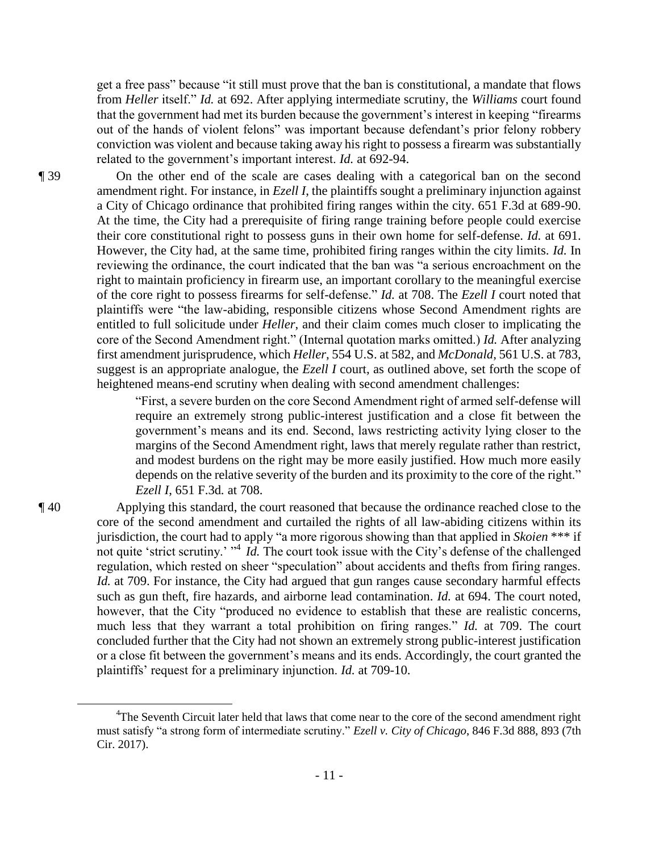get a free pass" because "it still must prove that the ban is constitutional, a mandate that flows from *Heller* itself." *Id.* at 692. After applying intermediate scrutiny, the *Williams* court found that the government had met its burden because the government's interest in keeping "firearms out of the hands of violent felons" was important because defendant's prior felony robbery conviction was violent and because taking away his right to possess a firearm was substantially related to the government's important interest. *Id.* at 692-94.

 $\overline{a}$ 

¶ 39 On the other end of the scale are cases dealing with a categorical ban on the second amendment right. For instance, in *Ezell I*, the plaintiffs sought a preliminary injunction against a City of Chicago ordinance that prohibited firing ranges within the city. 651 F.3d at 689-90. At the time, the City had a prerequisite of firing range training before people could exercise their core constitutional right to possess guns in their own home for self-defense. *Id.* at 691. However, the City had, at the same time, prohibited firing ranges within the city limits. *Id.* In reviewing the ordinance, the court indicated that the ban was "a serious encroachment on the right to maintain proficiency in firearm use, an important corollary to the meaningful exercise of the core right to possess firearms for self-defense." *Id.* at 708. The *Ezell I* court noted that plaintiffs were "the law-abiding, responsible citizens whose Second Amendment rights are entitled to full solicitude under *Heller*, and their claim comes much closer to implicating the core of the Second Amendment right." (Internal quotation marks omitted.) *Id.* After analyzing first amendment jurisprudence, which *Heller*, 554 U.S. at 582, and *McDonald*, 561 U.S. at 783, suggest is an appropriate analogue, the *Ezell I* court, as outlined above, set forth the scope of heightened means-end scrutiny when dealing with second amendment challenges:

> "First, a severe burden on the core Second Amendment right of armed self-defense will require an extremely strong public-interest justification and a close fit between the government's means and its end. Second, laws restricting activity lying closer to the margins of the Second Amendment right, laws that merely regulate rather than restrict, and modest burdens on the right may be more easily justified. How much more easily depends on the relative severity of the burden and its proximity to the core of the right." *Ezell I*, 651 F.3d*.* at 708.

¶ 40 Applying this standard, the court reasoned that because the ordinance reached close to the core of the second amendment and curtailed the rights of all law-abiding citizens within its jurisdiction, the court had to apply "a more rigorous showing than that applied in *Skoien* \*\*\* if not quite 'strict scrutiny.' <sup>34</sup> *Id*. The court took issue with the City's defense of the challenged regulation, which rested on sheer "speculation" about accidents and thefts from firing ranges. *Id.* at 709. For instance, the City had argued that gun ranges cause secondary harmful effects such as gun theft, fire hazards, and airborne lead contamination. *Id.* at 694. The court noted, however, that the City "produced no evidence to establish that these are realistic concerns, much less that they warrant a total prohibition on firing ranges." *Id.* at 709. The court concluded further that the City had not shown an extremely strong public-interest justification or a close fit between the government's means and its ends. Accordingly, the court granted the plaintiffs' request for a preliminary injunction. *Id.* at 709-10.

<sup>&</sup>lt;sup>4</sup>The Seventh Circuit later held that laws that come near to the core of the second amendment right must satisfy "a strong form of intermediate scrutiny." *Ezell v. City of Chicago*, 846 F.3d 888, 893 (7th Cir. 2017).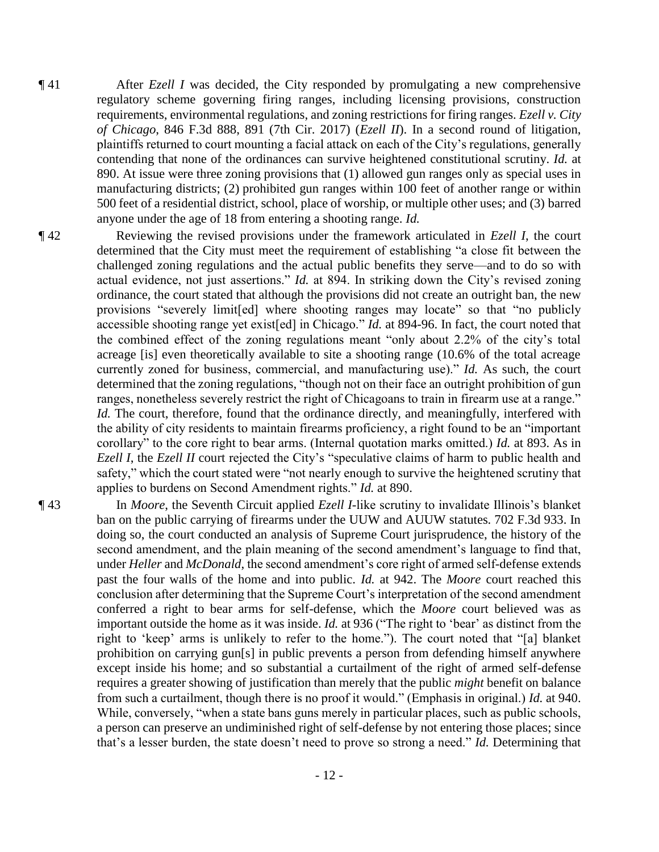- ¶ 41 After *Ezell I* was decided, the City responded by promulgating a new comprehensive regulatory scheme governing firing ranges, including licensing provisions, construction requirements, environmental regulations, and zoning restrictions for firing ranges. *Ezell v. City of Chicago*, 846 F.3d 888, 891 (7th Cir. 2017) (*Ezell II*). In a second round of litigation, plaintiffs returned to court mounting a facial attack on each of the City's regulations, generally contending that none of the ordinances can survive heightened constitutional scrutiny. *Id.* at 890. At issue were three zoning provisions that (1) allowed gun ranges only as special uses in manufacturing districts; (2) prohibited gun ranges within 100 feet of another range or within 500 feet of a residential district, school, place of worship, or multiple other uses; and (3) barred anyone under the age of 18 from entering a shooting range. *Id.*
- ¶ 42 Reviewing the revised provisions under the framework articulated in *Ezell I*, the court determined that the City must meet the requirement of establishing "a close fit between the challenged zoning regulations and the actual public benefits they serve—and to do so with actual evidence, not just assertions." *Id.* at 894. In striking down the City's revised zoning ordinance, the court stated that although the provisions did not create an outright ban, the new provisions "severely limit[ed] where shooting ranges may locate" so that "no publicly accessible shooting range yet exist[ed] in Chicago." *Id.* at 894-96. In fact, the court noted that the combined effect of the zoning regulations meant "only about 2.2% of the city's total acreage [is] even theoretically available to site a shooting range (10.6% of the total acreage currently zoned for business, commercial, and manufacturing use)." *Id.* As such, the court determined that the zoning regulations, "though not on their face an outright prohibition of gun ranges, nonetheless severely restrict the right of Chicagoans to train in firearm use at a range." *Id.* The court, therefore, found that the ordinance directly, and meaningfully, interfered with the ability of city residents to maintain firearms proficiency, a right found to be an "important corollary" to the core right to bear arms. (Internal quotation marks omitted.) *Id.* at 893. As in *Ezell I*, the *Ezell II* court rejected the City's "speculative claims of harm to public health and safety," which the court stated were "not nearly enough to survive the heightened scrutiny that applies to burdens on Second Amendment rights." *Id.* at 890.
- 

¶ 43 In *Moore*, the Seventh Circuit applied *Ezell I*-like scrutiny to invalidate Illinois's blanket ban on the public carrying of firearms under the UUW and AUUW statutes. 702 F.3d 933. In doing so, the court conducted an analysis of Supreme Court jurisprudence, the history of the second amendment, and the plain meaning of the second amendment's language to find that, under *Heller* and *McDonald*, the second amendment's core right of armed self-defense extends past the four walls of the home and into public. *Id.* at 942. The *Moore* court reached this conclusion after determining that the Supreme Court's interpretation of the second amendment conferred a right to bear arms for self-defense, which the *Moore* court believed was as important outside the home as it was inside. *Id.* at 936 ("The right to 'bear' as distinct from the right to 'keep' arms is unlikely to refer to the home."). The court noted that "[a] blanket prohibition on carrying gun[s] in public prevents a person from defending himself anywhere except inside his home; and so substantial a curtailment of the right of armed self-defense requires a greater showing of justification than merely that the public *might* benefit on balance from such a curtailment, though there is no proof it would." (Emphasis in original.) *Id.* at 940. While, conversely, "when a state bans guns merely in particular places, such as public schools, a person can preserve an undiminished right of self-defense by not entering those places; since that's a lesser burden, the state doesn't need to prove so strong a need." *Id.* Determining that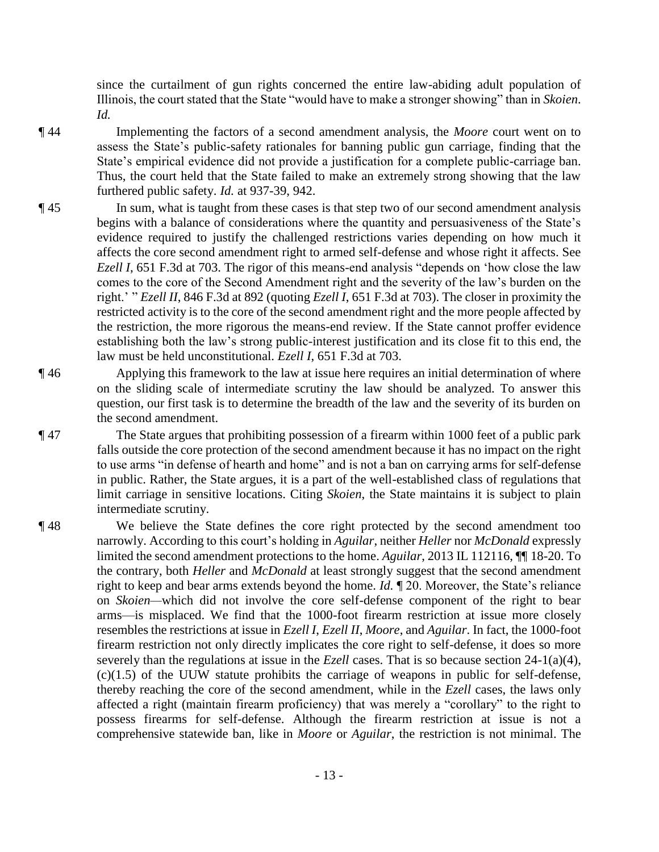since the curtailment of gun rights concerned the entire law-abiding adult population of Illinois, the court stated that the State "would have to make a stronger showing" than in *Skoien*. *Id.*

¶ 44 Implementing the factors of a second amendment analysis, the *Moore* court went on to assess the State's public-safety rationales for banning public gun carriage, finding that the State's empirical evidence did not provide a justification for a complete public-carriage ban. Thus, the court held that the State failed to make an extremely strong showing that the law furthered public safety. *Id.* at 937-39, 942.

- ¶ 45 In sum, what is taught from these cases is that step two of our second amendment analysis begins with a balance of considerations where the quantity and persuasiveness of the State's evidence required to justify the challenged restrictions varies depending on how much it affects the core second amendment right to armed self-defense and whose right it affects. See *Ezell I*, 651 F.3d at 703. The rigor of this means-end analysis "depends on 'how close the law comes to the core of the Second Amendment right and the severity of the law's burden on the right.' " *Ezell II*, 846 F.3d at 892 (quoting *Ezell I*, 651 F.3d at 703). The closer in proximity the restricted activity is to the core of the second amendment right and the more people affected by the restriction, the more rigorous the means-end review. If the State cannot proffer evidence establishing both the law's strong public-interest justification and its close fit to this end, the law must be held unconstitutional. *Ezell I*, 651 F.3d at 703.
- ¶ 46 Applying this framework to the law at issue here requires an initial determination of where on the sliding scale of intermediate scrutiny the law should be analyzed. To answer this question, our first task is to determine the breadth of the law and the severity of its burden on the second amendment.

¶ 47 The State argues that prohibiting possession of a firearm within 1000 feet of a public park falls outside the core protection of the second amendment because it has no impact on the right to use arms "in defense of hearth and home" and is not a ban on carrying arms for self-defense in public. Rather, the State argues, it is a part of the well-established class of regulations that limit carriage in sensitive locations. Citing *Skoien*, the State maintains it is subject to plain intermediate scrutiny.

¶ 48 We believe the State defines the core right protected by the second amendment too narrowly. According to this court's holding in *Aguilar*, neither *Heller* nor *McDonald* expressly limited the second amendment protections to the home. *Aguilar*, 2013 IL 112116, ¶¶ 18-20. To the contrary, both *Heller* and *McDonald* at least strongly suggest that the second amendment right to keep and bear arms extends beyond the home. *Id.* ¶ 20. Moreover, the State's reliance on *Skoien—*which did not involve the core self-defense component of the right to bear arms—is misplaced. We find that the 1000-foot firearm restriction at issue more closely resembles the restrictions at issue in *Ezell I*, *Ezell II*, *Moore*, and *Aguilar*. In fact, the 1000-foot firearm restriction not only directly implicates the core right to self-defense, it does so more severely than the regulations at issue in the *Ezell* cases. That is so because section 24-1(a)(4), (c)(1.5) of the UUW statute prohibits the carriage of weapons in public for self-defense, thereby reaching the core of the second amendment, while in the *Ezell* cases, the laws only affected a right (maintain firearm proficiency) that was merely a "corollary" to the right to possess firearms for self-defense. Although the firearm restriction at issue is not a comprehensive statewide ban, like in *Moore* or *Aguilar*, the restriction is not minimal. The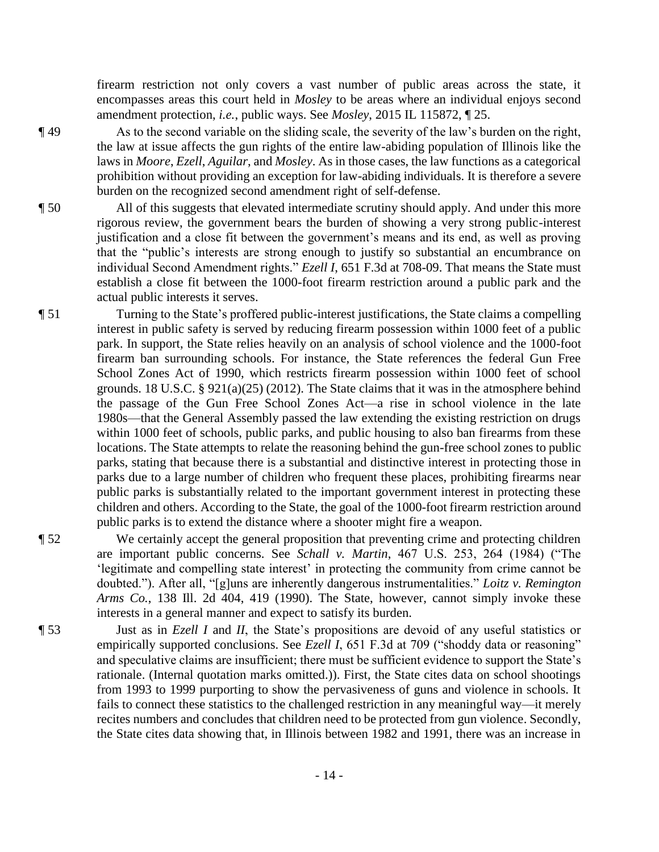firearm restriction not only covers a vast number of public areas across the state, it encompasses areas this court held in *Mosley* to be areas where an individual enjoys second amendment protection, *i.e.*, public ways. See *Mosley*, 2015 IL 115872, ¶ 25.

¶ 49 As to the second variable on the sliding scale, the severity of the law's burden on the right, the law at issue affects the gun rights of the entire law-abiding population of Illinois like the laws in *Moore*, *Ezell*, *Aguilar*, and *Mosley*. As in those cases, the law functions as a categorical prohibition without providing an exception for law-abiding individuals. It is therefore a severe burden on the recognized second amendment right of self-defense.

¶ 50 All of this suggests that elevated intermediate scrutiny should apply. And under this more rigorous review, the government bears the burden of showing a very strong public-interest justification and a close fit between the government's means and its end, as well as proving that the "public's interests are strong enough to justify so substantial an encumbrance on individual Second Amendment rights." *Ezell I*, 651 F.3d at 708-09. That means the State must establish a close fit between the 1000-foot firearm restriction around a public park and the actual public interests it serves.

¶ 51 Turning to the State's proffered public-interest justifications, the State claims a compelling interest in public safety is served by reducing firearm possession within 1000 feet of a public park. In support, the State relies heavily on an analysis of school violence and the 1000-foot firearm ban surrounding schools. For instance, the State references the federal Gun Free School Zones Act of 1990, which restricts firearm possession within 1000 feet of school grounds. 18 U.S.C. § 921(a)(25) (2012). The State claims that it was in the atmosphere behind the passage of the Gun Free School Zones Act—a rise in school violence in the late 1980s—that the General Assembly passed the law extending the existing restriction on drugs within 1000 feet of schools, public parks, and public housing to also ban firearms from these locations. The State attempts to relate the reasoning behind the gun-free school zones to public parks, stating that because there is a substantial and distinctive interest in protecting those in parks due to a large number of children who frequent these places, prohibiting firearms near public parks is substantially related to the important government interest in protecting these children and others. According to the State, the goal of the 1000-foot firearm restriction around public parks is to extend the distance where a shooter might fire a weapon.

¶ 52 We certainly accept the general proposition that preventing crime and protecting children are important public concerns. See *Schall v. Martin*, 467 U.S. 253, 264 (1984) ("The 'legitimate and compelling state interest' in protecting the community from crime cannot be doubted."). After all, "[g]uns are inherently dangerous instrumentalities." *Loitz v. Remington Arms Co.*, 138 Ill. 2d 404, 419 (1990). The State, however, cannot simply invoke these interests in a general manner and expect to satisfy its burden.

¶ 53 Just as in *Ezell I* and *II*, the State's propositions are devoid of any useful statistics or empirically supported conclusions. See *Ezell I*, 651 F.3d at 709 ("shoddy data or reasoning" and speculative claims are insufficient; there must be sufficient evidence to support the State's rationale. (Internal quotation marks omitted.)). First, the State cites data on school shootings from 1993 to 1999 purporting to show the pervasiveness of guns and violence in schools. It fails to connect these statistics to the challenged restriction in any meaningful way—it merely recites numbers and concludes that children need to be protected from gun violence. Secondly, the State cites data showing that, in Illinois between 1982 and 1991, there was an increase in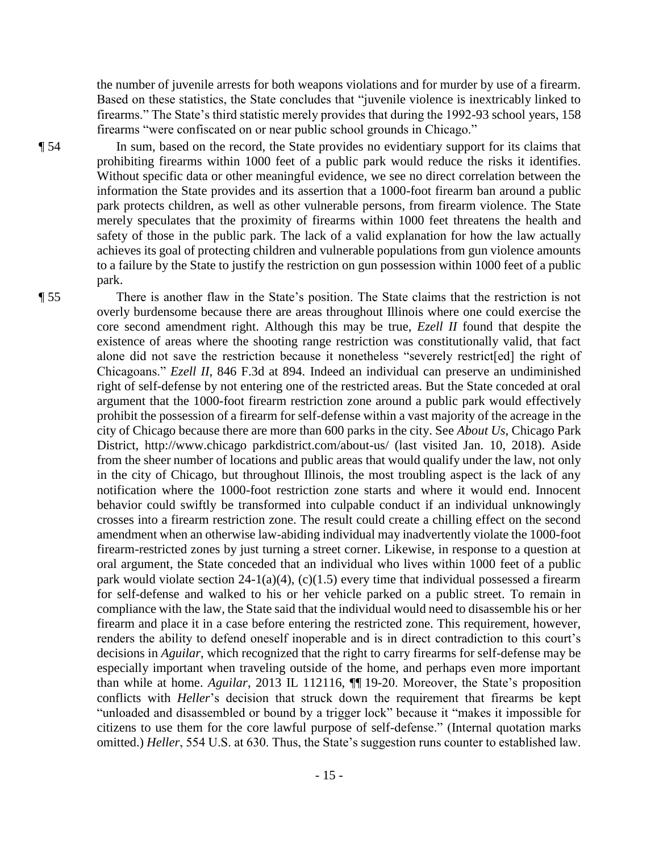the number of juvenile arrests for both weapons violations and for murder by use of a firearm. Based on these statistics, the State concludes that "juvenile violence is inextricably linked to firearms." The State's third statistic merely provides that during the 1992-93 school years, 158 firearms "were confiscated on or near public school grounds in Chicago."

¶ 54 In sum, based on the record, the State provides no evidentiary support for its claims that prohibiting firearms within 1000 feet of a public park would reduce the risks it identifies. Without specific data or other meaningful evidence, we see no direct correlation between the information the State provides and its assertion that a 1000-foot firearm ban around a public park protects children, as well as other vulnerable persons, from firearm violence. The State merely speculates that the proximity of firearms within 1000 feet threatens the health and safety of those in the public park. The lack of a valid explanation for how the law actually achieves its goal of protecting children and vulnerable populations from gun violence amounts to a failure by the State to justify the restriction on gun possession within 1000 feet of a public park.

¶ 55 There is another flaw in the State's position. The State claims that the restriction is not overly burdensome because there are areas throughout Illinois where one could exercise the core second amendment right. Although this may be true, *Ezell II* found that despite the existence of areas where the shooting range restriction was constitutionally valid, that fact alone did not save the restriction because it nonetheless "severely restrict[ed] the right of Chicagoans." *Ezell II*, 846 F.3d at 894. Indeed an individual can preserve an undiminished right of self-defense by not entering one of the restricted areas. But the State conceded at oral argument that the 1000-foot firearm restriction zone around a public park would effectively prohibit the possession of a firearm for self-defense within a vast majority of the acreage in the city of Chicago because there are more than 600 parks in the city. See *About Us*, Chicago Park District, http://www.chicago parkdistrict.com/about-us/ (last visited Jan. 10, 2018). Aside from the sheer number of locations and public areas that would qualify under the law, not only in the city of Chicago, but throughout Illinois, the most troubling aspect is the lack of any notification where the 1000-foot restriction zone starts and where it would end. Innocent behavior could swiftly be transformed into culpable conduct if an individual unknowingly crosses into a firearm restriction zone. The result could create a chilling effect on the second amendment when an otherwise law-abiding individual may inadvertently violate the 1000-foot firearm-restricted zones by just turning a street corner. Likewise, in response to a question at oral argument, the State conceded that an individual who lives within 1000 feet of a public park would violate section 24-1(a)(4), (c)(1.5) every time that individual possessed a firearm for self-defense and walked to his or her vehicle parked on a public street. To remain in compliance with the law, the State said that the individual would need to disassemble his or her firearm and place it in a case before entering the restricted zone. This requirement, however, renders the ability to defend oneself inoperable and is in direct contradiction to this court's decisions in *Aguilar*, which recognized that the right to carry firearms for self-defense may be especially important when traveling outside of the home, and perhaps even more important than while at home. *Aguilar*, 2013 IL 112116, ¶¶ 19-20. Moreover, the State's proposition conflicts with *Heller*'s decision that struck down the requirement that firearms be kept "unloaded and disassembled or bound by a trigger lock" because it "makes it impossible for citizens to use them for the core lawful purpose of self-defense." (Internal quotation marks omitted.) *Heller*, 554 U.S. at 630. Thus, the State's suggestion runs counter to established law.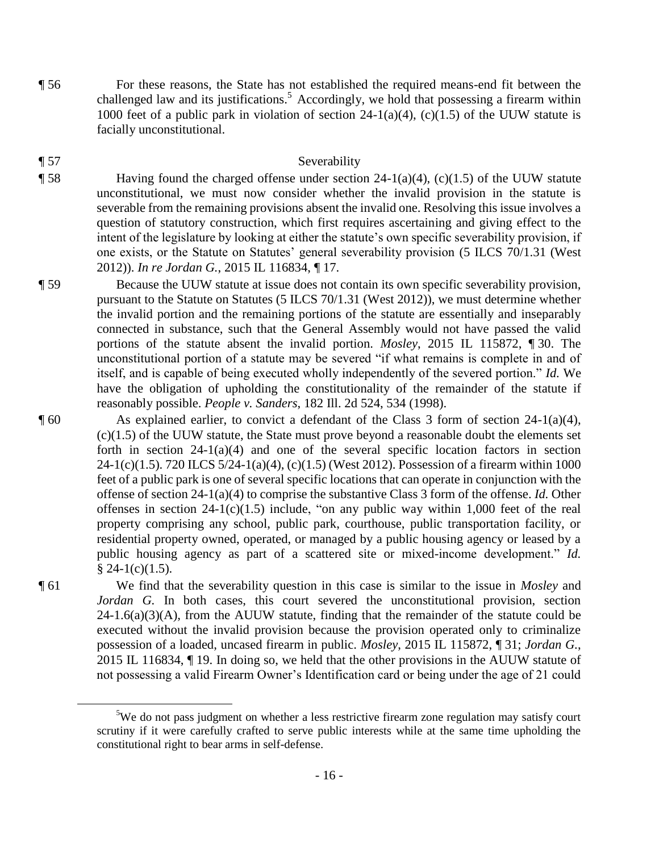¶ 56 For these reasons, the State has not established the required means-end fit between the challenged law and its justifications.<sup>5</sup> Accordingly, we hold that possessing a firearm within 1000 feet of a public park in violation of section 24-1(a)(4), (c)(1.5) of the UUW statute is facially unconstitutional.

## ¶ 57 Severability

 $\P$  58 Having found the charged offense under section 24-1(a)(4), (c)(1.5) of the UUW statute unconstitutional, we must now consider whether the invalid provision in the statute is severable from the remaining provisions absent the invalid one. Resolving this issue involves a question of statutory construction, which first requires ascertaining and giving effect to the intent of the legislature by looking at either the statute's own specific severability provision, if one exists, or the Statute on Statutes' general severability provision (5 ILCS 70/1.31 (West 2012)). *In re Jordan G.*, 2015 IL 116834, ¶ 17.

- ¶ 59 Because the UUW statute at issue does not contain its own specific severability provision, pursuant to the Statute on Statutes (5 ILCS 70/1.31 (West 2012)), we must determine whether the invalid portion and the remaining portions of the statute are essentially and inseparably connected in substance, such that the General Assembly would not have passed the valid portions of the statute absent the invalid portion. *Mosley*, 2015 IL 115872, ¶ 30. The unconstitutional portion of a statute may be severed "if what remains is complete in and of itself, and is capable of being executed wholly independently of the severed portion." *Id.* We have the obligation of upholding the constitutionality of the remainder of the statute if reasonably possible. *People v. Sanders*, 182 Ill. 2d 524, 534 (1998).
- ¶ 60 As explained earlier, to convict a defendant of the Class 3 form of section 24-1(a)(4), (c)(1.5) of the UUW statute, the State must prove beyond a reasonable doubt the elements set forth in section  $24-1(a)(4)$  and one of the several specific location factors in section 24-1(c)(1.5). 720 ILCS 5/24-1(a)(4), (c)(1.5) (West 2012). Possession of a firearm within 1000 feet of a public park is one of several specific locations that can operate in conjunction with the offense of section 24-1(a)(4) to comprise the substantive Class 3 form of the offense. *Id.* Other offenses in section  $24-1(c)(1.5)$  include, "on any public way within 1,000 feet of the real property comprising any school, public park, courthouse, public transportation facility, or residential property owned, operated, or managed by a public housing agency or leased by a public housing agency as part of a scattered site or mixed-income development." *Id.*  $§$  24-1(c)(1.5).
- ¶ 61 We find that the severability question in this case is similar to the issue in *Mosley* and *Jordan G.* In both cases, this court severed the unconstitutional provision, section  $24-1.6(a)(3)(A)$ , from the AUUW statute, finding that the remainder of the statute could be executed without the invalid provision because the provision operated only to criminalize possession of a loaded, uncased firearm in public. *Mosley*, 2015 IL 115872, ¶ 31; *Jordan G.*, 2015 IL 116834, ¶ 19. In doing so, we held that the other provisions in the AUUW statute of not possessing a valid Firearm Owner's Identification card or being under the age of 21 could

 $\overline{a}$ 

 $5W$ e do not pass judgment on whether a less restrictive firearm zone regulation may satisfy court scrutiny if it were carefully crafted to serve public interests while at the same time upholding the constitutional right to bear arms in self-defense.